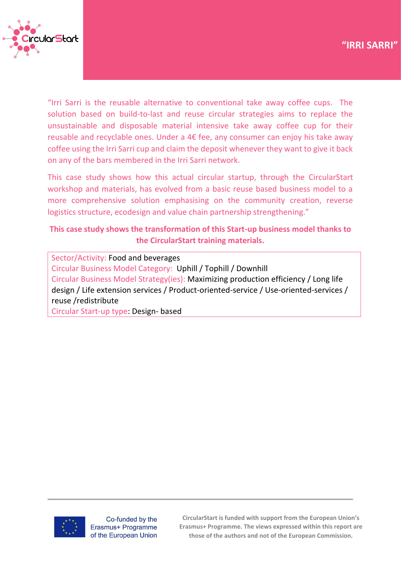

"Irri Sarri is the reusable alternative to conventional take away coffee cups. The solution based on build-to-last and reuse circular strategies aims to replace the unsustainable and disposable material intensive take away coffee cup for their reusable and recyclable ones. Under a 4€ fee, any consumer can enjoy his take away coffee using the Irri Sarri cup and claim the deposit whenever they want to give it back on any of the bars membered in the Irri Sarri network.

This case study shows how this actual circular startup, through the CircularStart workshop and materials, has evolved from a basic reuse based business model to a more comprehensive solution emphasising on the community creation, reverse logistics structure, ecodesign and value chain partnership strengthening."

# **This case study shows the transformation of this Start-up business model thanks to the CircularStart training materials.**

Sector/Activity: Food and beverages Circular Business Model Category: Uphill / Tophill / Downhill Circular Business Model Strategy(ies): Maximizing production efficiency / Long life design / Life extension services / Product-oriented-service / Use-oriented-services / reuse /redistribute

Circular Start-up type: Design- based



Co-funded by the Erasmus+ Programme of the European Union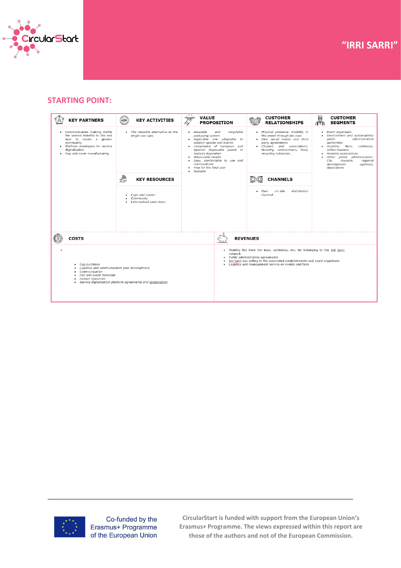

## **STARTING POINT:**





Co-funded by the Erasmus+ Programme of the European Union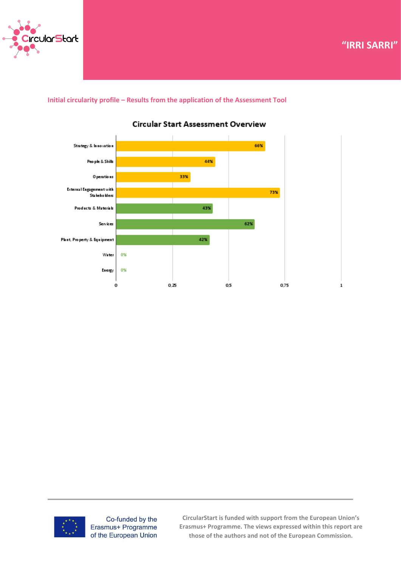

**Case Study – "Title" "IRRI SARRI"**

**Initial circularity profile – Results from the application of the Assessment Tool** 



#### **Circular Start Assessment Overview**



Co-funded by the Erasmus+ Programme of the European Union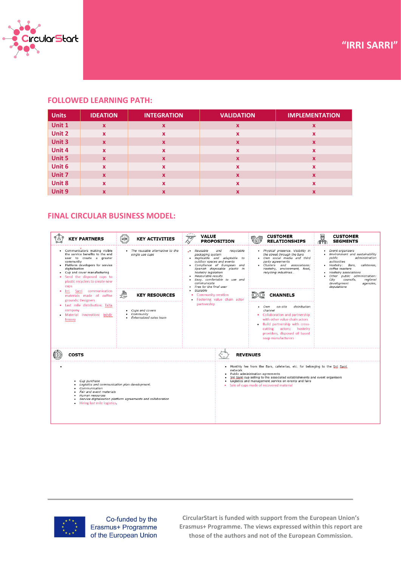

## **FOLLOWED LEARNING PATH:**

| <b>Units</b> | <b>IDEATION</b>           | <b>INTEGRATION</b>        | <b>VALIDATION</b>         | <b>IMPLEMENTATION</b> |
|--------------|---------------------------|---------------------------|---------------------------|-----------------------|
| Unit 1       | $\mathbf x$               | $\boldsymbol{\mathsf{x}}$ | X                         | x                     |
| Unit 2       | $\boldsymbol{\mathsf{x}}$ | $\boldsymbol{\mathsf{x}}$ | X                         | x                     |
| Unit 3       | $\mathbf x$               | $\boldsymbol{x}$          | $\mathbf x$               | X                     |
| Unit 4       | $\boldsymbol{\mathsf{x}}$ | $\boldsymbol{\mathsf{x}}$ | X                         | X                     |
| Unit 5       | $\mathbf{x}$              | $\boldsymbol{x}$          | $\mathbf x$               | X                     |
| Unit 6       | $\boldsymbol{\mathsf{x}}$ | $\boldsymbol{\mathsf{x}}$ | X                         | X                     |
| Unit 7       | $\boldsymbol{\mathsf{x}}$ | $\boldsymbol{\mathsf{x}}$ | $\boldsymbol{\mathsf{x}}$ | X                     |
| Unit 8       | x                         | X                         | X                         | $\boldsymbol{x}$      |
| Unit 9       | x                         | X                         | X                         | x                     |

## **FINAL CIRCULAR BUSINESS MODEL:**

| <b>KEY PARTNERS</b>                                                                                                                                                                                                                                                      | <b>HORK</b><br><b>KEY ACTIVITIES</b>                         | $\cdot$<br><b>VALUE</b><br>叹<br><b>PROPOSITION</b>                                                                                                                                                                                                                                                                | <b>CUSTOMER</b><br><b>RELATIONSHIPS</b>                                                                                                                                                                                                                                                              | हा<br><b>CUSTOMER</b><br><b>SEGMENTS</b>                                                                                                                                                                                                                                                         |  |
|--------------------------------------------------------------------------------------------------------------------------------------------------------------------------------------------------------------------------------------------------------------------------|--------------------------------------------------------------|-------------------------------------------------------------------------------------------------------------------------------------------------------------------------------------------------------------------------------------------------------------------------------------------------------------------|------------------------------------------------------------------------------------------------------------------------------------------------------------------------------------------------------------------------------------------------------------------------------------------------------|--------------------------------------------------------------------------------------------------------------------------------------------------------------------------------------------------------------------------------------------------------------------------------------------------|--|
| • Communicators making visible<br>the service benefits to the end<br>user to create a greater<br>community<br>Platform developers for service<br>digitalisation<br>Cup and cover manufacturing<br>• Send the disposed cups to<br>plastic recyclers to create new<br>cups | • The reusable alternative to the<br>single use cups         | recyclable<br>Reusable<br>and<br>$\cdot$ .<br>packaging system<br>Replicable and adaptable to<br>outdoor spaces and events<br>Compliance of European and<br>Spanish disposable plastic in<br>hostelry legislation<br>Measurable results<br>Easy, comfortable to use and<br>communicate<br>Free for the final user | · Physical presence. Visibility in<br>the street through the bars<br>. Own social media and third<br>party agreements<br>· Clusters and associations:<br>Hostelry, environment, food,<br>recycling industries                                                                                        | • Event organisers<br>Environment and sustainability<br>public<br>administration<br>authorities<br>Bars,<br>• Hostelry:<br>cafeterias,<br>coffee roasters<br>· Hostelry associations<br>Other public administration:<br>City<br>councils,<br>regional<br>development<br>agencies,<br>deputations |  |
| Sarri communication<br>Irri<br>٠<br>materials made of coffee<br>grounds: Designers                                                                                                                                                                                       | ₩<br><b>KEY RESOURCES</b>                                    | Scalable<br><b>Community creation</b><br>· Fostering value chain actor                                                                                                                                                                                                                                            | <b>CHANNELS</b>                                                                                                                                                                                                                                                                                      |                                                                                                                                                                                                                                                                                                  |  |
| · Last mile distribution: Txita<br>company<br>Material innovation: Inèdir<br>Innova                                                                                                                                                                                      | • Cups and covers<br>Community<br>· Externalised sales team  | partnership                                                                                                                                                                                                                                                                                                       | on-site<br>distribution<br>Own<br>channel<br>• Collaboration and partnership<br>with other value chain actors<br>. Build partnership with cross-<br>cutting actors; hostelry<br>providers, disposed oil based<br>soap manufacturers                                                                  |                                                                                                                                                                                                                                                                                                  |  |
| <b>COSTS</b><br><b>REVENUES</b>                                                                                                                                                                                                                                          |                                                              |                                                                                                                                                                                                                                                                                                                   |                                                                                                                                                                                                                                                                                                      |                                                                                                                                                                                                                                                                                                  |  |
| Cup purchase<br>٠<br>Logistics and communication plan development.<br>٠<br>Communication<br>Fair and event materials<br>Human resources<br>Hiring last mile logistics.<br>$\bullet$                                                                                      | Service digitalisation platform agreements and collaboration | network<br>٠                                                                                                                                                                                                                                                                                                      | . Monthly fee from the Bars, cafeterias, etc. for belonging to the Irri Sarri<br>Public administration agreements<br>Irri Sarri cup selling to the associated establishments and event organisers<br>Logistics and management service on events and fairs<br>Sale of cups made of recovered material |                                                                                                                                                                                                                                                                                                  |  |



Co-funded by the Erasmus+ Programme of the European Union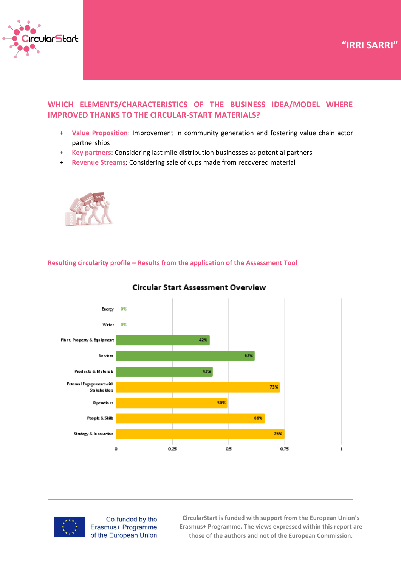



# **WHICH ELEMENTS/CHARACTERISTICS OF THE BUSINESS IDEA/MODEL WHERE IMPROVED THANKS TO THE CIRCULAR-START MATERIALS?**

- + **Value Proposition**: Improvement in community generation and fostering value chain actor partnerships
- + **Key partners**: Considering last mile distribution businesses as potential partners
- + **Revenue Streams**: Considering sale of cups made from recovered material



**Resulting circularity profile – Results from the application of the Assessment Tool** 



#### **Circular Start Assessment Overview**



Co-funded by the Erasmus+ Programme of the European Union